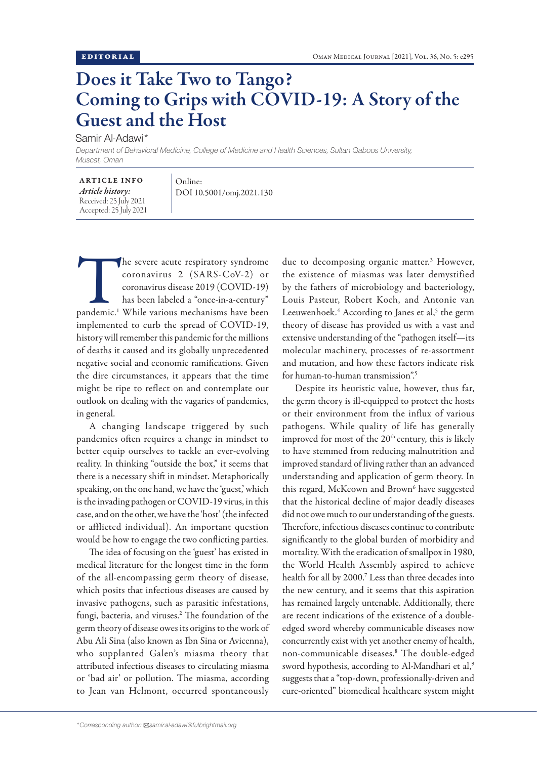## Does it Take Two to Tango? Coming to Grips with COVID-19: A Story of the Guest and the Host

Samir Al-Adawi\*

*Department of Behavioral Medicine, College of Medicine and Health Sciences, Sultan Qaboos University, Muscat, Oman* 

| <b>ARTICLE INFO</b>    |
|------------------------|
| Article history:       |
| Received: 25 July 2021 |
| Accepted: 25 July 2021 |

Online: DOI 10.5001/omj.2021.130

The severe acute respiratory syndrome<br>
coronavirus 2 (SARS-CoV-2) or<br>
coronavirus disease 2019 (COVID-19)<br>
has been labeled a "once-in-a-century"<br>
pandemic.<sup>1</sup> While various mechanisms have been coronavirus 2 (SARS-CoV-2) or coronavirus disease 2019 (COVID-19) has been labeled a "once-in-a-century" implemented to curb the spread of COVID-19, history will remember this pandemic for the millions of deaths it caused and its globally unprecedented negative social and economic ramifications. Given the dire circumstances, it appears that the time might be ripe to reflect on and contemplate our outlook on dealing with the vagaries of pandemics, in general.

A changing landscape triggered by such pandemics often requires a change in mindset to better equip ourselves to tackle an ever-evolving reality. In thinking "outside the box," it seems that there is a necessary shift in mindset. Metaphorically speaking, on the one hand, we have the 'guest,' which is the invading pathogen or COVID-19 virus, in this case, and on the other, we have the 'host' (the infected or afflicted individual). An important question would be how to engage the two conflicting parties.

The idea of focusing on the 'guest' has existed in medical literature for the longest time in the form of the all-encompassing germ theory of disease, which posits that infectious diseases are caused by invasive pathogens, such as parasitic infestations, fungi, bacteria, and viruses.<sup>2</sup> The foundation of the germ theory of disease owes its origins to the work of Abu Ali Sina (also known as Ibn Sina or Avicenna), who supplanted Galen's miasma theory that attributed infectious diseases to circulating miasma or 'bad air' or pollution. The miasma, according to Jean van Helmont, occurred spontaneously

due to decomposing organic matter.3 However, the existence of miasmas was later demystified by the fathers of microbiology and bacteriology, Louis Pasteur, Robert Koch, and Antonie van Leeuwenhoek.<sup>4</sup> According to Janes et al,<sup>5</sup> the germ theory of disease has provided us with a vast and extensive understanding of the "pathogen itself—its molecular machinery, processes of re-assortment and mutation, and how these factors indicate risk for human-to-human transmission".5

Despite its heuristic value, however, thus far, the germ theory is ill-equipped to protect the hosts or their environment from the influx of various pathogens. While quality of life has generally improved for most of the 20<sup>th</sup> century, this is likely to have stemmed from reducing malnutrition and improved standard of living rather than an advanced understanding and application of germ theory. In this regard, McKeown and Brown<sup>6</sup> have suggested that the historical decline of major deadly diseases did not owe much to our understanding of the guests. Therefore, infectious diseases continue to contribute significantly to the global burden of morbidity and mortality. With the eradication of smallpox in 1980, the World Health Assembly aspired to achieve health for all by 2000.7 Less than three decades into the new century, and it seems that this aspiration has remained largely untenable. Additionally, there are recent indications of the existence of a doubleedged sword whereby communicable diseases now concurrently exist with yet another enemy of health, non-communicable diseases.8 The double-edged sword hypothesis, according to Al-Mandhari et al,<sup>9</sup> suggests that a "top-down, professionally-driven and cure-oriented" biomedical healthcare system might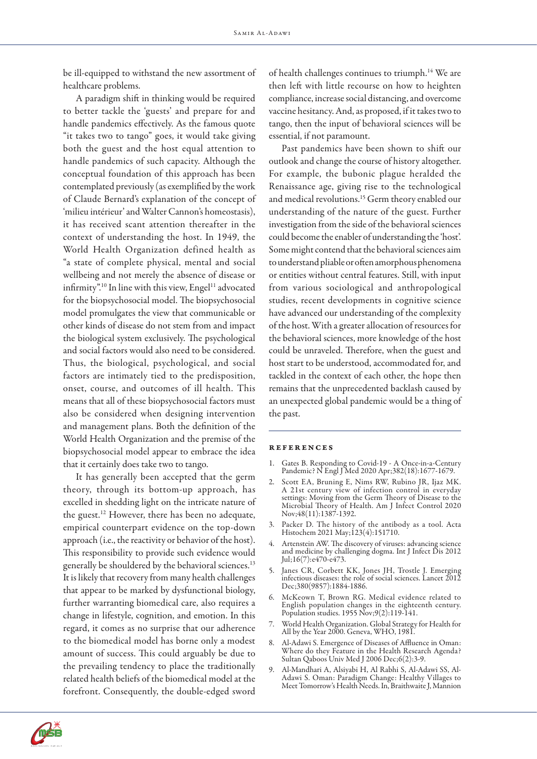be ill-equipped to withstand the new assortment of healthcare problems.

A paradigm shift in thinking would be required to better tackle the 'guests' and prepare for and handle pandemics effectively. As the famous quote "it takes two to tango" goes, it would take giving both the guest and the host equal attention to handle pandemics of such capacity. Although the conceptual foundation of this approach has been contemplated previously (as exemplified by the work of Claude Bernard's explanation of the concept of 'milieu intérieur' and Walter Cannon's homeostasis), it has received scant attention thereafter in the context of understanding the host. In 1949, the World Health Organization defined health as "a state of complete physical, mental and social wellbeing and not merely the absence of disease or infirmity".<sup>10</sup> In line with this view, Engel<sup>11</sup> advocated for the biopsychosocial model. The biopsychosocial model promulgates the view that communicable or other kinds of disease do not stem from and impact the biological system exclusively. The psychological and social factors would also need to be considered. Thus, the biological, psychological, and social factors are intimately tied to the predisposition, onset, course, and outcomes of ill health. This means that all of these biopsychosocial factors must also be considered when designing intervention and management plans. Both the definition of the World Health Organization and the premise of the biopsychosocial model appear to embrace the idea that it certainly does take two to tango.

It has generally been accepted that the germ theory, through its bottom-up approach, has excelled in shedding light on the intricate nature of the guest.12 However, there has been no adequate, empirical counterpart evidence on the top-down approach (i.e., the reactivity or behavior of the host). This responsibility to provide such evidence would generally be shouldered by the behavioral sciences.<sup>13</sup> It is likely that recovery from many health challenges that appear to be marked by dysfunctional biology, further warranting biomedical care, also requires a change in lifestyle, cognition, and emotion. In this regard, it comes as no surprise that our adherence to the biomedical model has borne only a modest amount of success. This could arguably be due to the prevailing tendency to place the traditionally related health beliefs of the biomedical model at the forefront. Consequently, the double-edged sword of health challenges continues to triumph.14 We are then left with little recourse on how to heighten compliance, increase social distancing, and overcome vaccine hesitancy. And, as proposed, if it takes two to tango, then the input of behavioral sciences will be essential, if not paramount.

Past pandemics have been shown to shift our outlook and change the course of history altogether. For example, the bubonic plague heralded the Renaissance age, giving rise to the technological and medical revolutions.15 Germ theory enabled our understanding of the nature of the guest. Further investigation from the side of the behavioral sciences could become the enabler of understanding the 'host'. Some might contend that the behavioral sciences aim to understand pliable or often amorphous phenomena or entities without central features. Still, with input from various sociological and anthropological studies, recent developments in cognitive science have advanced our understanding of the complexity of the host. With a greater allocation of resources for the behavioral sciences, more knowledge of the host could be unraveled. Therefore, when the guest and host start to be understood, accommodated for, and tackled in the context of each other, the hope then remains that the unprecedented backlash caused by an unexpected global pandemic would be a thing of the past.

## references

- 1. Gates B. Responding to Covid-19 A Once-in-a-Century Pandemic? N Engl J Med 2020 Apr;382(18):1677-1679.
- 2. Scott EA, Bruning E, Nims RW, Rubino JR, Ijaz MK. A 21st century view of infection control in everyday settings: Moving from the Germ Theory of Disease to the Microbial Theory of Health. Am J Infect Control 2020 Nov; 48(11): 1387-1392.
- 3. Packer D. The history of the antibody as a tool. Acta Histochem 2021 May;123(4):151710.
- 4. Artenstein AW. The discovery of viruses: advancing science and medicine by challenging dogma. Int J Infect Dis 2012 Jul;16(7):e470-e473.
- 5. Janes CR, Corbett KK, Jones JH, Trostle J. Emerging infectious diseases: the role of social sciences. Lancet 2012 Dec;380(9857):1884-1886.
- 6. McKeown T, Brown RG. Medical evidence related to English population changes in the eighteenth century. Population studies. 1955 Nov;9(2):119-141.
- 7. World Health Organization. Global Strategy for Health for All by the Year 2000. Geneva, WHO, 1981.
- 8. Al-Adawi S. Emergence of Diseases of Affluence in Oman: Where do they Feature in the Health Research Agenda? Sultan Qaboos Univ Med J 2006 Dec;6(2):3-9.
- 9. Al-Mandhari A, Alsiyabi H, Al Rabhi S, Al-Adawi SS, Al-Adawi S. Oman: Paradigm Change: Healthy Villages to Meet Tomorrow's Health Needs. In, Braithwaite J, Mannion